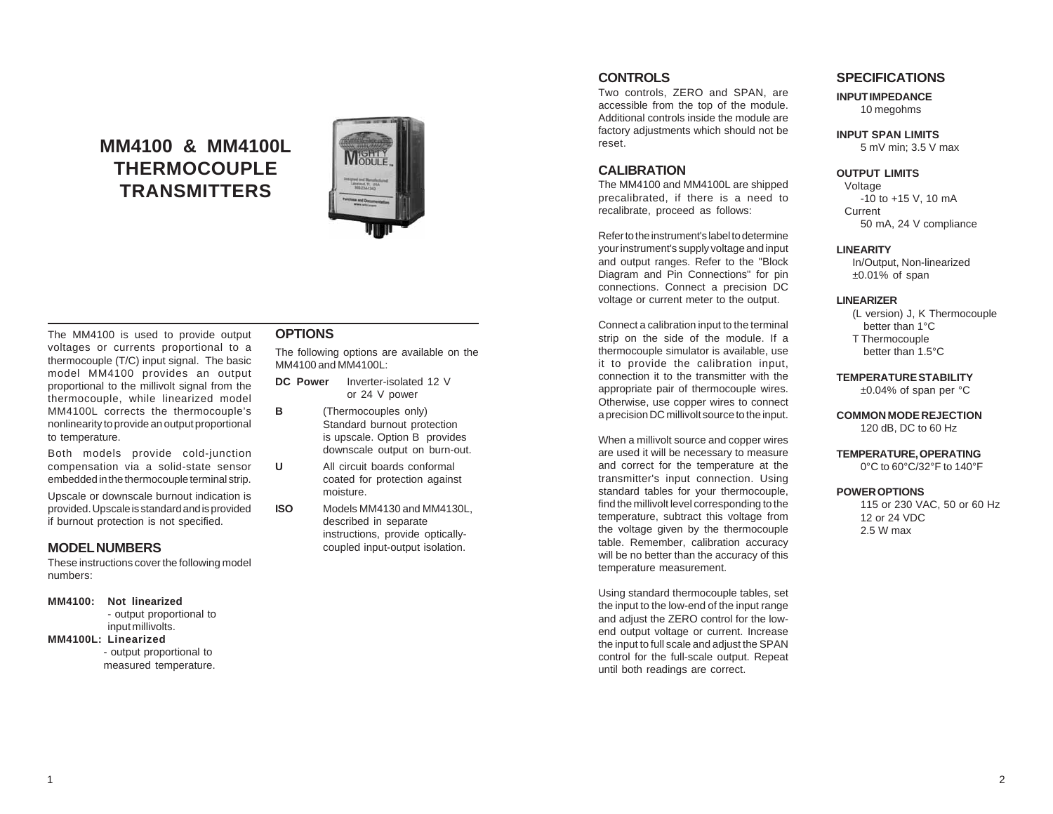# **MM4100 & MM4100L THERMOCOUPLE TRANSMITTERS**



#### The MM4100 is used to provide output voltages or currents proportional to a thermocouple (T/C) input signal. The basic model MM4100 provides an output proportional to the millivolt signal from the thermocouple, while linearized model MM4100L corrects the thermocouple's nonlinearity to provide an output proportional to temperature.

Both models provide cold-junction compensation via a solid-state sensor embedded in the thermocouple terminal strip.

Upscale or downscale burnout indication is provided. Upscale is standard and is provided if burnout protection is not specified.

# **MODEL NUMBERS**

These instructions cover the following model numbers:

#### **MM4100: Not linearized**

- output proportional to input millivolts.

### **MM4100L: Linearized**

- output proportional to measured temperature.

# **OPTIONS**

The following options are available on the MM4100 and MM4100L:

- **DC Power** Inverter-isolated 12 V or 24 V power
- **B** (Thermocouples only) Standard burnout protection is upscale. Option B provides downscale output on burn-out.
- **U** All circuit boards conformal coated for protection against moisture.
- **ISO** Models MM4130 and MM4130L, described in separate instructions, provide opticallycoupled input-output isolation.

# **CONTROLS**

Two controls, ZERO and SPAN, are accessible from the top of the module. Additional controls inside the module are factory adjustments which should not be reset.

# **CALIBRATION**

The MM4100 and MM4100L are shipped precalibrated, if there is a need to recalibrate, proceed as follows:

Refer to the instrument's label to determine your instrument's supply voltage and input and output ranges. Refer to the "Block Diagram and Pin Connections" for pin connections. Connect a precision DC voltage or current meter to the output.

Connect a calibration input to the terminal strip on the side of the module. If a thermocouple simulator is available, use it to provide the calibration input, connection it to the transmitter with the appropriate pair of thermocouple wires. Otherwise, use copper wires to connect a precision DC millivolt source to the input.

When a millivolt source and copper wires are used it will be necessary to measure and correct for the temperature at the transmitter's input connection. Using standard tables for your thermocouple, find the millivolt level corresponding to the temperature, subtract this voltage from the voltage given by the thermocouple table. Remember, calibration accuracy will be no better than the accuracy of this temperature measurement.

Using standard thermocouple tables, set the input to the low-end of the input range and adjust the ZERO control for the lowend output voltage or current. Increase the input to full scale and adjust the SPAN control for the full-scale output. Repeat until both readings are correct.

## **SPECIFICATIONS**

**INPUT IMPEDANCE** 10 megohms

**INPUT SPAN LIMITS** 5 mV min; 3.5 V max

#### **OUTPUT LIMITS**

Voltage -10 to +15 V, 10 mA Current 50 mA, 24 V compliance

#### **LINEARITY**

In/Output, Non-linearized  $±0.01\%$  of span

#### **LINEARIZER**

(L version) J, K Thermocouple better than 1°C T Thermocouple better than 1.5°C

**TEMPERATURE STABILITY**

±0.04% of span per °C

#### **COMMON MODE REJECTION** 120 dB, DC to 60 Hz

#### **TEMPERATURE, OPERATING** 0°C to 60°C/32°F to 140°F

#### **POWER OPTIONS**

115 or 230 VAC, 50 or 60 Hz 12 or 24 VDC 2.5 W max